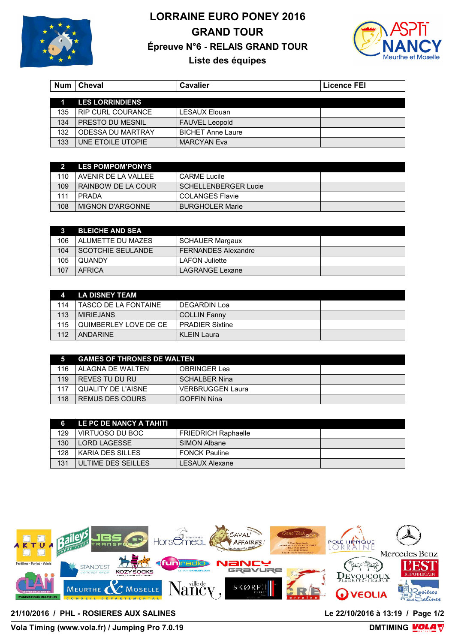

## **LORRAINE EURO PONEY 2016 GRAND TOUR** Épreuve N°6 - RELAIS GRAND TOUR



## Liste des équipes

|                  | Num   Cheval            | <b>Cavalier</b>          | <b>Licence FEI</b> |
|------------------|-------------------------|--------------------------|--------------------|
| $\blacksquare$ 1 | <b>LES LORRINDIENS</b>  |                          |                    |
| 135              | RIP CURL COURANCE       | <b>LESAUX Elouan</b>     |                    |
| 134              | <b>PRESTO DU MESNIL</b> | <b>FAUVEL Leopold</b>    |                    |
| 132              | ODESSA DU MARTRAY       | <b>BICHET Anne Laure</b> |                    |
| 133              | UNE ETOILE UTOPIE       | <b>MARCYAN Eva</b>       |                    |

|     | <b>LES POMPOM'PONYS</b> |                             |  |
|-----|-------------------------|-----------------------------|--|
| 110 | AVENIR DE LA VALLEE     | CARME Lucile                |  |
| 109 | RAINBOW DE LA COUR      | <b>SCHELLENBERGER Lucie</b> |  |
| 111 | PRADA                   | <b>COLANGES Flavie</b>      |  |
| 108 | <b>MIGNON D'ARGONNE</b> | <b>BURGHOLER Marie</b>      |  |

|     | <b>BLEICHE AND SEA</b>   |                            |  |
|-----|--------------------------|----------------------------|--|
| 106 | l ALUMETTE DU MAZES      | <b>SCHAUER Margaux</b>     |  |
| 104 | <b>SCOTCHIE SEULANDE</b> | <b>FERNANDES Alexandre</b> |  |
| 105 | l QUANDY                 | <b>LAFON Juliette</b>      |  |
| 107 | AFRICA                   | LAGRANGE Lexane            |  |

|     | LA DISNEY TEAM          |                        |  |
|-----|-------------------------|------------------------|--|
| 114 | I TASCO DE LA FONTAINE. | DEGARDIN Loa           |  |
| 113 | <b>MIRIEJANS</b>        | <b>COLLIN Fanny</b>    |  |
| 115 | I QUIMBERLEY LOVE DE CE | <b>PRADIFR Sixtine</b> |  |
| 112 | ANDARINE                | <b>KLEIN Laura</b>     |  |

|     | <b>GAMES OF THRONES DE WALTEN</b> |                         |  |
|-----|-----------------------------------|-------------------------|--|
| 116 | AI AGNA DF WAI TFN                | OBRINGER Lea            |  |
| 119 | l REVES TU DU RU                  | <b>SCHALBER Nina</b>    |  |
| 117 | l QUALITY DE L'AISNE              | <b>VERBRUGGEN Laura</b> |  |
| 118 | REMUS DES COURS                   | <b>GOFFIN Nina</b>      |  |

| 6   | LE PC DE NANCY A TAHITI |                            |  |
|-----|-------------------------|----------------------------|--|
| 129 | VIRTUOSO DU BOC         | <b>FRIEDRICH Raphaelle</b> |  |
| 130 | LORD LAGESSE            | SIMON Albane               |  |
| 128 | KARIA DES SILLES        | <b>FONCK Pauline</b>       |  |
| 131 | ULTIME DES SEILLES      | LESAUX Alexane             |  |



21/10/2016 / PHL - ROSIERES AUX SALINES

Vola Timing (www.vola.fr) / Jumping Pro 7.0.19

DMTIMING **VOLA**V